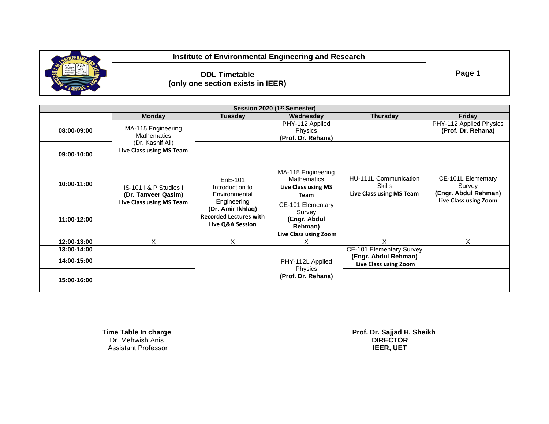

**(only one section exists in IEER)**

**ODL Timetable Page 1** 

| Session 2020 (1 <sup>st</sup> Semester) |                                                                                          |                                                                                                                                      |                                                                                 |                                                                    |                                                                               |  |
|-----------------------------------------|------------------------------------------------------------------------------------------|--------------------------------------------------------------------------------------------------------------------------------------|---------------------------------------------------------------------------------|--------------------------------------------------------------------|-------------------------------------------------------------------------------|--|
|                                         | <b>Monday</b>                                                                            | <b>Tuesday</b>                                                                                                                       | Wednesday                                                                       | <b>Thursday</b>                                                    | Friday                                                                        |  |
| 08:00-09:00                             | MA-115 Engineering<br><b>Mathematics</b><br>(Dr. Kashif Ali)<br>Live Class using MS Team |                                                                                                                                      | PHY-112 Applied<br><b>Physics</b><br>(Prof. Dr. Rehana)                         |                                                                    | PHY-112 Applied Physics<br>(Prof. Dr. Rehana)                                 |  |
| 09:00-10:00                             |                                                                                          |                                                                                                                                      |                                                                                 |                                                                    |                                                                               |  |
| 10:00-11:00                             | IS-101   & P Studies  <br>(Dr. Tanveer Qasim)<br>Live Class using MS Team                | EnE-101<br>Introduction to<br>Environmental<br>Engineering<br>(Dr. Amir Ikhlaq)<br><b>Recorded Lectures with</b><br>Live Q&A Session | MA-115 Engineering<br><b>Mathematics</b><br>Live Class using MS<br>Team         | HU-111L Communication<br><b>Skills</b><br>Live Class using MS Team | CE-101L Elementary<br>Survey<br>(Engr. Abdul Rehman)<br>Live Class using Zoom |  |
| 11:00-12:00                             |                                                                                          |                                                                                                                                      | CE-101 Elementary<br>Survey<br>(Engr. Abdul<br>Rehman)<br>Live Class using Zoom |                                                                    |                                                                               |  |
| 12:00-13:00                             | X                                                                                        | X                                                                                                                                    | х                                                                               | X                                                                  | Χ                                                                             |  |
| 13:00-14:00                             |                                                                                          |                                                                                                                                      |                                                                                 | <b>CE-101 Elementary Survey</b>                                    |                                                                               |  |
| 14:00-15:00                             |                                                                                          |                                                                                                                                      | PHY-112L Applied<br><b>Physics</b><br>(Prof. Dr. Rehana)                        | (Engr. Abdul Rehman)<br>Live Class using Zoom                      |                                                                               |  |
| 15:00-16:00                             |                                                                                          |                                                                                                                                      |                                                                                 |                                                                    |                                                                               |  |

 Dr. Mehwish Anis **DIRECTOR** Assistant Professor **IEER, UET**

 **Time Table In charge Prof. Dr. Sajjad H. Sheikh**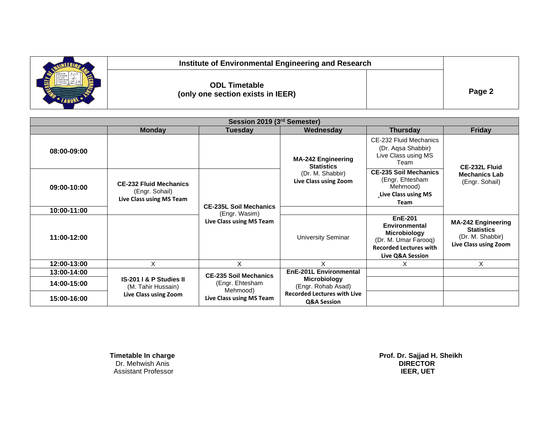| Institute of Environmental Engineering and Research       |        |
|-----------------------------------------------------------|--------|
| <b>ODL Timetable</b><br>(only one section exists in IEER) | Page 2 |

| Session 2019 (3rd Semester) |                                                                             |                                                                                         |                                                                                             |                                                                                                                                     |                                                                                             |
|-----------------------------|-----------------------------------------------------------------------------|-----------------------------------------------------------------------------------------|---------------------------------------------------------------------------------------------|-------------------------------------------------------------------------------------------------------------------------------------|---------------------------------------------------------------------------------------------|
|                             | <b>Monday</b>                                                               | <b>Tuesday</b>                                                                          | Wednesday                                                                                   | <b>Thursday</b>                                                                                                                     | <b>Friday</b>                                                                               |
| 08:00-09:00                 |                                                                             |                                                                                         | <b>MA-242 Engineering</b><br><b>Statistics</b><br>(Dr. M. Shabbir)<br>Live Class using Zoom | CE-232 Fluid Mechanics<br>(Dr. Aqsa Shabbir)<br>Live Class using MS<br>Team                                                         | CE-232L Fluid<br><b>Mechanics Lab</b><br>(Engr. Sohail)                                     |
| 09:00-10:00                 | <b>CE-232 Fluid Mechanics</b><br>(Engr. Sohail)<br>Live Class using MS Team |                                                                                         |                                                                                             | <b>CE-235 Soil Mechanics</b><br>(Engr. Ehtesham<br>Mehmood)<br>Live Class using MS<br><b>Team</b>                                   |                                                                                             |
| 10:00-11:00                 |                                                                             | <b>CE-235L Soil Mechanics</b><br>(Engr. Wasim)                                          |                                                                                             |                                                                                                                                     |                                                                                             |
| 11:00-12:00                 |                                                                             | Live Class using MS Team                                                                | <b>University Seminar</b>                                                                   | <b>EnE-201</b><br>Environmental<br><b>Microbiology</b><br>(Dr. M. Umar Farooq)<br><b>Recorded Lectures with</b><br>Live Q&A Session | <b>MA-242 Engineering</b><br><b>Statistics</b><br>(Dr. M. Shabbir)<br>Live Class using Zoom |
| 12:00-13:00                 | X                                                                           | X                                                                                       |                                                                                             | х                                                                                                                                   | X                                                                                           |
| 13:00-14:00                 | IS-201 I & P Studies II<br>(M. Tahir Hussain)<br>Live Class using Zoom      | <b>CE-235 Soil Mechanics</b><br>(Engr. Ehtesham<br>Mehmood)<br>Live Class using MS Team | <b>EnE-201L Environmental</b>                                                               |                                                                                                                                     |                                                                                             |
| 14:00-15:00                 |                                                                             |                                                                                         | <b>Microbiology</b><br>(Engr. Rohab Asad)                                                   |                                                                                                                                     |                                                                                             |
| 15:00-16:00                 |                                                                             |                                                                                         | <b>Recorded Lectures with Live</b><br>Q&A Session                                           |                                                                                                                                     |                                                                                             |

 Dr. Mehwish Anis **DIRECTOR** Assistant Professor **IEER, UET**

 **Timetable In charge Prof. Dr. Sajjad H. Sheikh**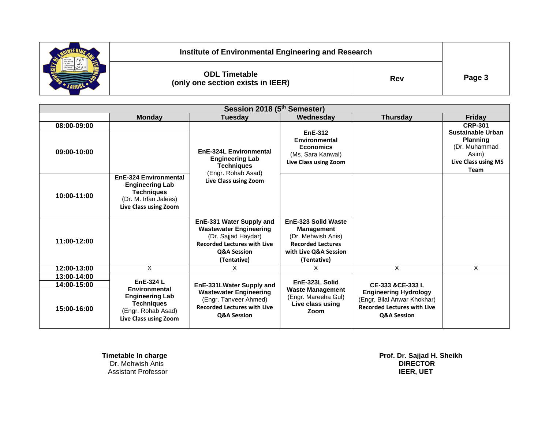

**ODL Timetable (**only one section exists in IEER) **Rev** 

**Page 3**

| Session 2018 (5th Semester) |                                                                                                                               |                                                                                                                                                                 |                                                                                                                                    |                                                                                                                  |                                                                                                         |
|-----------------------------|-------------------------------------------------------------------------------------------------------------------------------|-----------------------------------------------------------------------------------------------------------------------------------------------------------------|------------------------------------------------------------------------------------------------------------------------------------|------------------------------------------------------------------------------------------------------------------|---------------------------------------------------------------------------------------------------------|
|                             | <b>Monday</b>                                                                                                                 | <b>Tuesday</b>                                                                                                                                                  | Wednesdav                                                                                                                          | <b>Thursday</b>                                                                                                  | <b>Friday</b>                                                                                           |
| 08:00-09:00<br>09:00-10:00  |                                                                                                                               | EnE-324L Environmental<br><b>Engineering Lab</b>                                                                                                                | <b>EnE-312</b><br>Environmental<br><b>Economics</b><br>(Ms. Sara Kanwal)<br>Live Class using Zoom                                  |                                                                                                                  | <b>CRP-301</b><br>Sustainable Urban<br><b>Planning</b><br>(Dr. Muhammad<br>Asim)<br>Live Class using MS |
| 10:00-11:00                 | <b>EnE-324 Environmental</b><br><b>Engineering Lab</b><br><b>Techniques</b><br>(Dr. M. Irfan Jalees)<br>Live Class using Zoom | Techniques<br>(Engr. Rohab Asad)<br>Live Class using Zoom                                                                                                       |                                                                                                                                    |                                                                                                                  | Team                                                                                                    |
| 11:00-12:00                 |                                                                                                                               | EnE-331 Water Supply and<br><b>Wastewater Engineering</b><br>(Dr. Sajjad Haydar)<br><b>Recorded Lectures with Live</b><br><b>Q&amp;A Session</b><br>(Tentative) | EnE-323 Solid Waste<br><b>Management</b><br>(Dr. Mehwish Anis)<br><b>Recorded Lectures</b><br>with Live Q&A Session<br>(Tentative) |                                                                                                                  |                                                                                                         |
| 12:00-13:00                 | X                                                                                                                             | X.                                                                                                                                                              | X.                                                                                                                                 | X                                                                                                                | X.                                                                                                      |
| 13:00-14:00                 |                                                                                                                               |                                                                                                                                                                 |                                                                                                                                    |                                                                                                                  |                                                                                                         |
| 14:00-15:00                 | EnE-324 L                                                                                                                     | EnE-331LWater Supply and                                                                                                                                        | EnE-323L Solid                                                                                                                     | CE-333 & CE-333 L                                                                                                |                                                                                                         |
| 15:00-16:00                 | Environmental<br><b>Engineering Lab</b><br><b>Techniques</b><br>(Engr. Rohab Asad)<br>Live Class using Zoom                   | <b>Wastewater Engineering</b><br>(Engr. Tanveer Ahmed)<br><b>Recorded Lectures with Live</b><br><b>Q&amp;A Session</b>                                          | <b>Waste Management</b><br>(Engr. Mareeha Gul)<br>Live class using<br>Zoom                                                         | <b>Engineering Hydrology</b><br>(Engr. Bilal Anwar Khokhar)<br><b>Recorded Lectures with Live</b><br>Q&A Session |                                                                                                         |

**Institute of Environmental Engineering and Research**

**Timetable In charge Controller School School School School School School School School School School School School School School School School School School School School School School School School School School School S Assistant Professor** 

 **Prof. Dr. Sajjad H. Sheikh<br>DIRECTOR**